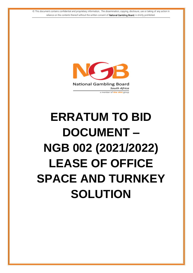© This document contains confidential and proprietary information. The dissemination, copying, disclosure, use or taking of any action in reliance on the contents thereof without the written consent of National Gambling Board, is strictly prohibited.



# **ERRATUM TO BID DOCUMENT – NGB 002 (2021/2022) LEASE OF OFFICE SPACE AND TURNKEY SOLUTION**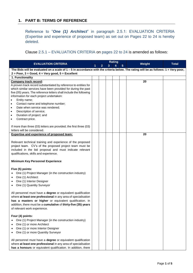### **1. PART B: TERMS OF REFERENCE**

Reference to "*One (1) Architect*" in paragraph 2.5.1: EVALUATION CRITERIA (Expertise and experience of proposed team) as set out on Pages 22 to 24 is hereby deleted.

Clause 2.5.1 – EVALUATION CRITERIA on pages 22 to 24 is amended as follows:

| <b>EVALUATION CRITERIA</b>                                                                                                              |  |   |   | <b>Rating</b> |   |        | <b>Total</b> |
|-----------------------------------------------------------------------------------------------------------------------------------------|--|---|---|---------------|---|--------|--------------|
|                                                                                                                                         |  | 2 | 3 | 4             | 5 | Weight |              |
| The Bids will be evaluated on a scale of $1 - 5$ in accordance with the criteria below. The rating will be as follows: $1 =$ Very poor, |  |   |   |               |   |        |              |
| $2 = Poor$ , $3 = Good$ , $4 = Very good$ , $5 = Excellent$                                                                             |  |   |   |               |   |        |              |
| 1. Functionality                                                                                                                        |  |   |   |               |   |        |              |
| <b>Company track record:</b>                                                                                                            |  |   |   |               |   | 20     |              |
| A proven track record substantiated by reference to entities for                                                                        |  |   |   |               |   |        |              |
| which similar services have been provided for during the past                                                                           |  |   |   |               |   |        |              |
| five (05) years. The reference letters shall include the following                                                                      |  |   |   |               |   |        |              |
| information for each project undertaken:<br>Entity name;                                                                                |  |   |   |               |   |        |              |
| Contact name and telephone number;                                                                                                      |  |   |   |               |   |        |              |
| Date when service was rendered;<br>$\bullet$                                                                                            |  |   |   |               |   |        |              |
| Description of service;<br>٠                                                                                                            |  |   |   |               |   |        |              |
| Duration of project; and                                                                                                                |  |   |   |               |   |        |              |
| Contract price.                                                                                                                         |  |   |   |               |   |        |              |
|                                                                                                                                         |  |   |   |               |   |        |              |
| If more than three (03) letters are provided; the first three (03)                                                                      |  |   |   |               |   |        |              |
| letters will be considered.                                                                                                             |  |   |   |               |   |        |              |
| <b>Expertise and experience of proposed team:</b>                                                                                       |  |   |   |               |   | 20     |              |
|                                                                                                                                         |  |   |   |               |   |        |              |
| Relevant technical training and experience of the proposed                                                                              |  |   |   |               |   |        |              |
| project team. CV's of the proposed project team must be                                                                                 |  |   |   |               |   |        |              |
| included in the bid proposal and must indicate relevant                                                                                 |  |   |   |               |   |        |              |
| qualifications, skills and experience.                                                                                                  |  |   |   |               |   |        |              |
| <b>Minimum Key Personnel Experience</b>                                                                                                 |  |   |   |               |   |        |              |
| Five (5) points:                                                                                                                        |  |   |   |               |   |        |              |
| One (1) Project Manager (in the construction industry)                                                                                  |  |   |   |               |   |        |              |
| One (1) Architect                                                                                                                       |  |   |   |               |   |        |              |
| One (1) Interior Designer                                                                                                               |  |   |   |               |   |        |              |
| One (1) Quantity Surveyor<br>$\bullet$                                                                                                  |  |   |   |               |   |        |              |
|                                                                                                                                         |  |   |   |               |   |        |              |
| All personnel must have a degree or equivalent qualification                                                                            |  |   |   |               |   |        |              |
| where at least one professional in any area of specialisation                                                                           |  |   |   |               |   |        |              |
| has a masters or higher or equivalent qualification. In                                                                                 |  |   |   |               |   |        |              |
| addition, there must be a cumulative of thirty-five (35) years                                                                          |  |   |   |               |   |        |              |
| of relevant work experience.                                                                                                            |  |   |   |               |   |        |              |
| Four (4) points:                                                                                                                        |  |   |   |               |   |        |              |
| One (1) Project Manager (in the construction industry)                                                                                  |  |   |   |               |   |        |              |
| One (1) or more Architect                                                                                                               |  |   |   |               |   |        |              |
| One (1) or more Interior Designer                                                                                                       |  |   |   |               |   |        |              |
| One (1) or more Quantity Surveyor                                                                                                       |  |   |   |               |   |        |              |
|                                                                                                                                         |  |   |   |               |   |        |              |
| All personnel must have a degree or equivalent qualification                                                                            |  |   |   |               |   |        |              |
| where at least one professional in any area of specialisation                                                                           |  |   |   |               |   |        |              |
| has a honours or equivalent qualification. In addition, there                                                                           |  |   |   |               |   |        |              |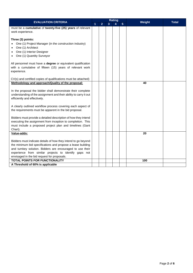| <b>EVALUATION CRITERIA</b>                                                                                                                                                                                                                                                                        |  |                |   | <b>Rating</b> |                |        | <b>Total</b> |
|---------------------------------------------------------------------------------------------------------------------------------------------------------------------------------------------------------------------------------------------------------------------------------------------------|--|----------------|---|---------------|----------------|--------|--------------|
|                                                                                                                                                                                                                                                                                                   |  | $\overline{2}$ | 3 | 4             | 5 <sup>5</sup> | Weight |              |
| must be a cumulative of twenty-five (25) years of relevant<br>work experience.                                                                                                                                                                                                                    |  |                |   |               |                |        |              |
| Three (3) points:<br>One (1) Project Manager (in the construction industry)<br>One (1) Architect<br>One (1) Interior Designer<br>One (1) Quantity Surveyor                                                                                                                                        |  |                |   |               |                |        |              |
| All personnel must have a degree or equivalent qualification<br>with a cumulative of fifteen (15) years of relevant work<br>experience.                                                                                                                                                           |  |                |   |               |                |        |              |
| CV(s) and certified copies of qualifications must be attached)                                                                                                                                                                                                                                    |  |                |   |               |                |        |              |
| Methodology and approach/Quality of the proposal:                                                                                                                                                                                                                                                 |  |                |   |               |                | 40     |              |
| In the proposal the bidder shall demonstrate their complete<br>understanding of the assignment and their ability to carry it out<br>efficiently and effectively.                                                                                                                                  |  |                |   |               |                |        |              |
| A clearly outlined workflow process covering each aspect of<br>the requirements must be apparent in the bid proposal.                                                                                                                                                                             |  |                |   |               |                |        |              |
| Bidders must provide a detailed description of how they intend<br>executing the assignment from inception to completion. This<br>must include a proposed project plan and timelines (Gant<br>Chart).                                                                                              |  |                |   |               |                |        |              |
| Value-adds:                                                                                                                                                                                                                                                                                       |  |                |   |               |                | 20     |              |
| Bidders must indicate details of how they intend to go beyond<br>the minimum bid specifications and propose a lease building<br>and turnkey solution. Bidders are encouraged to use their<br>experience from similar projects to identify gaps not<br>envisaged in the bid request for proposals. |  |                |   |               |                |        |              |
| <b>TOTAL POINTS FOR FUNCTIONALITY</b>                                                                                                                                                                                                                                                             |  |                |   |               |                | 100    |              |
| A Threshold of 60% is applicable                                                                                                                                                                                                                                                                  |  |                |   |               |                |        |              |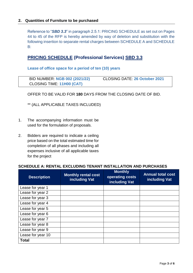#### **2. Quantities of Furniture to be purchased**

Reference to "*SBD 3.3*" in paragraph 2.5.1: PRICING SCHEDULE as set out on Pages 44 to 45 of the RFP is hereby amended by way of deletion and substitution with the following insertion to separate rental charges between SCHEDULE A and SCHEDULE B:

# **PRICING SCHEDULE (Professional Services) SBD 3.3**

**Lease of office space for a period of ten (10) years**

| <b>BID NUMBER: NGB 002 (2021/22)</b> | <b>CLOSING DATE: 26 October 2021</b> |
|--------------------------------------|--------------------------------------|
| <b>CLOSING TIME: 11H00 (CAT)</b>     |                                      |

OFFER TO BE VALID FOR **180** DAYS FROM THE CLOSING DATE OF BID.

\*\* (ALL APPLICABLE TAXES INCLUDED)

- 1. The accompanying information must be used for the formulation of proposals.
- 2. Bidders are required to indicate a ceiling price based on the total estimated time for completion of all phases and including all expenses inclusive of all applicable taxes for the project

#### **SCHEDULE A: RENTAL EXCLUDING TENANT INSTALLATION AND PURCHASES**

| <b>Description</b> | <b>Monthly rental cost</b><br>including Vat | <b>Monthly</b><br>operating costs<br>including Vat | <b>Annual total cost</b><br>including Vat |
|--------------------|---------------------------------------------|----------------------------------------------------|-------------------------------------------|
| Lease for year 1   |                                             |                                                    |                                           |
| Lease for year 2   |                                             |                                                    |                                           |
| Lease for year 3   |                                             |                                                    |                                           |
| Lease for year 4   |                                             |                                                    |                                           |
| Lease for year 5   |                                             |                                                    |                                           |
| Lease for year 6   |                                             |                                                    |                                           |
| Lease for year 7   |                                             |                                                    |                                           |
| Lease for year 8   |                                             |                                                    |                                           |
| Lease for year 9   |                                             |                                                    |                                           |
| Lease for year 10  |                                             |                                                    |                                           |
| <b>Total</b>       |                                             |                                                    |                                           |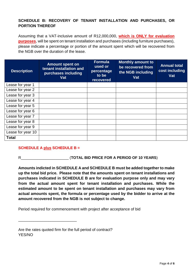# **SCHEDULE B: RECOVERY OF TENANT INSTALLATION AND PURCHASES, OR PORTION THEREOF**

Assuming that a VAT-inclusive amount of R12,000,000, **which is ONLY for evaluation purposes**, will be spent on tenant installation and purchases (including furniture purchases), please indicate a percentage or portion of the amount spent which will be recovered from the NGB over the duration of the lease.

| <b>Description</b> | <b>Amount spent on</b><br>tenant installation and<br>purchases including<br>Vat | <b>Formula</b><br>used or<br>percentage<br>to be<br>recovered | <b>Monthly amount to</b><br>be recovered from<br>the NGB including<br>Vat | <b>Annual total</b><br>cost including<br>Vat |
|--------------------|---------------------------------------------------------------------------------|---------------------------------------------------------------|---------------------------------------------------------------------------|----------------------------------------------|
| Lease for year 1   |                                                                                 |                                                               |                                                                           |                                              |
| Lease for year 2   |                                                                                 |                                                               |                                                                           |                                              |
| Lease for year 3   |                                                                                 |                                                               |                                                                           |                                              |
| Lease for year 4   |                                                                                 |                                                               |                                                                           |                                              |
| Lease for year 5   |                                                                                 |                                                               |                                                                           |                                              |
| Lease for year 6   |                                                                                 |                                                               |                                                                           |                                              |
| Lease for year 7   |                                                                                 |                                                               |                                                                           |                                              |
| Lease for year 8   |                                                                                 |                                                               |                                                                           |                                              |
| Lease for year 9   |                                                                                 |                                                               |                                                                           |                                              |
| Lease for year 10  |                                                                                 |                                                               |                                                                           |                                              |
| <b>Total</b>       |                                                                                 |                                                               |                                                                           |                                              |

## **SCHEDULE A plus SCHEDULE B =**

\_\_\_\_\_\_\_\_\_\_\_\_\_\_\_\_\_\_\_\_\_\_\_\_\_\_\_

R\_\_\_\_\_\_\_\_\_\_\_\_\_\_\_\_\_\_\_\_\_\_\_ (**TOTAL BID PRICE FOR A PERIOD OF 10 YEARS**)

**Amounts indicted in SCHEDULE A and SCHEDULE B must be added together to make up the total bid price. Please note that the amounts spent on tenant installations and purchases indicated in SCHEDULE B are for evaluation purpose only and may vary from the actual amount spent for tenant installation and purchases. While the estimated amount to be spent on tenant installation and purchases may vary from actual amounts spent, the formula or percentage used by the bidder to arrive at the amount recovered from the NGB is not subject to change.**

Period required for commencement with project after acceptance of bid

Are the rates quoted firm for the full period of contract? YES/NO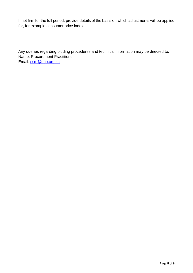If not firm for the full period, provide details of the basis on which adjustments will be applied for, for example consumer price index.

\_\_\_\_\_\_\_\_\_\_\_\_\_\_\_\_\_\_\_\_\_\_\_\_\_\_\_\_

Any queries regarding bidding procedures and technical information may be directed to: Name: Procurement Practitioner Email: [scm@ngb.org.za](mailto:scm@ngb.org.za)